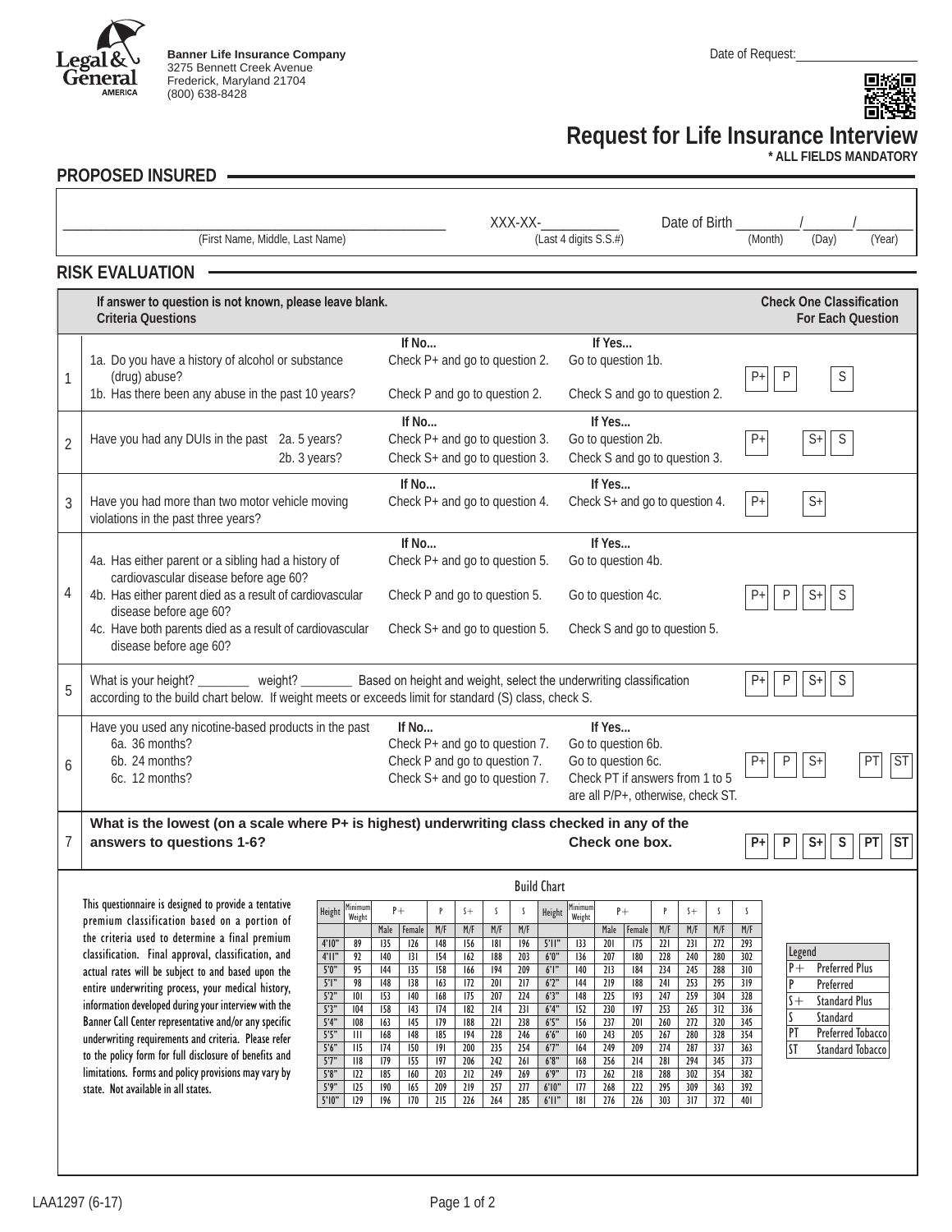

**Banner Life Insurance Company** 3275 Bennett Creek Avenue Frederick, Maryland 21704 (800) 638-8428



## **Request for Life Insurance Interview**

**\* ALL FIELDS MANDATORY**

## **PROPOSED INSURED**

I

|   |                                                                                                                                           |                 |                                    |                                |                                           |                               |            |            | XXX-XX-                       |                                                                       |                                |                               |                |                         |                             | Date of Birth             |                         |         |        |                                   |        |           |
|---|-------------------------------------------------------------------------------------------------------------------------------------------|-----------------|------------------------------------|--------------------------------|-------------------------------------------|-------------------------------|------------|------------|-------------------------------|-----------------------------------------------------------------------|--------------------------------|-------------------------------|----------------|-------------------------|-----------------------------|---------------------------|-------------------------|---------|--------|-----------------------------------|--------|-----------|
|   | (First Name, Middle, Last Name)                                                                                                           |                 |                                    |                                |                                           |                               |            |            |                               |                                                                       | (Last 4 digits S.S.#)          |                               |                |                         |                             |                           |                         | (Month) |        | (Day)                             | (Year) |           |
|   |                                                                                                                                           |                 |                                    |                                |                                           |                               |            |            |                               |                                                                       |                                |                               |                |                         |                             |                           |                         |         |        |                                   |        |           |
|   | <b>RISK EVALUATION</b>                                                                                                                    |                 |                                    |                                |                                           |                               |            |            |                               |                                                                       |                                |                               |                |                         |                             |                           |                         |         |        |                                   |        |           |
|   | If answer to question is not known, please leave blank.                                                                                   |                 |                                    |                                |                                           |                               |            |            |                               |                                                                       |                                |                               |                |                         |                             |                           |                         |         |        | <b>Check One Classification</b>   |        |           |
|   | <b>Criteria Questions</b>                                                                                                                 |                 |                                    |                                |                                           |                               |            |            |                               |                                                                       |                                |                               |                |                         |                             |                           |                         |         |        | <b>For Each Question</b>          |        |           |
|   |                                                                                                                                           |                 |                                    |                                | If No                                     |                               |            |            |                               |                                                                       |                                | If Yes                        |                |                         |                             |                           |                         |         |        |                                   |        |           |
|   | 1a. Do you have a history of alcohol or substance                                                                                         |                 |                                    |                                | Check P+ and go to question 2.            |                               |            |            |                               |                                                                       | Go to question 1b.             |                               |                |                         |                             |                           |                         |         |        |                                   |        |           |
| 1 | (drug) abuse?                                                                                                                             |                 |                                    |                                |                                           |                               |            |            |                               |                                                                       |                                |                               |                |                         | $\mathsf S$<br>$\mathsf{P}$ |                           |                         |         |        |                                   |        |           |
|   | 1b. Has there been any abuse in the past 10 years?                                                                                        |                 |                                    |                                |                                           | Check P and go to question 2. |            |            |                               |                                                                       |                                | Check S and go to question 2. |                |                         |                             |                           |                         |         |        |                                   |        |           |
|   | Have you had any DUIs in the past 2a. 5 years?<br>$\overline{2}$                                                                          |                 |                                    |                                | If No<br>Check P+ and go to question 3.   |                               |            |            |                               |                                                                       | If Yes<br>Go to question 2b.   |                               |                |                         |                             |                           |                         |         |        |                                   |        |           |
|   |                                                                                                                                           |                 |                                    |                                |                                           |                               |            |            |                               |                                                                       |                                |                               |                |                         | S<br>$P+$<br>$S+$           |                           |                         |         |        |                                   |        |           |
|   | 2b. 3 years?                                                                                                                              |                 |                                    |                                | Check S+ and go to question 3.            |                               |            |            |                               |                                                                       | Check S and go to question 3.  |                               |                |                         |                             |                           |                         |         |        |                                   |        |           |
|   |                                                                                                                                           |                 |                                    |                                | If No                                     |                               |            |            |                               |                                                                       | If Yes                         |                               |                |                         |                             |                           |                         |         |        |                                   |        |           |
| 3 | Have you had more than two motor vehicle moving                                                                                           |                 |                                    |                                | Check P+ and go to question 4.            |                               |            |            |                               |                                                                       | Check S+ and go to question 4. |                               |                |                         | $P+$                        |                           | $S+$                    |         |        |                                   |        |           |
|   | violations in the past three years?                                                                                                       |                 |                                    |                                |                                           |                               |            |            |                               |                                                                       |                                |                               |                |                         |                             |                           |                         |         |        |                                   |        |           |
|   |                                                                                                                                           |                 |                                    |                                |                                           | If No                         |            |            |                               |                                                                       |                                | If Yes                        |                |                         |                             |                           |                         |         |        |                                   |        |           |
|   | 4a. Has either parent or a sibling had a history of<br>cardiovascular disease before age 60?                                              |                 |                                    |                                | Check P+ and go to question 5.            |                               |            |            |                               |                                                                       | Go to question 4b.             |                               |                |                         |                             |                           |                         |         |        |                                   |        |           |
| 4 | 4b. Has either parent died as a result of cardiovascular                                                                                  |                 |                                    |                                | Check P and go to question 5.             |                               |            |            |                               |                                                                       | Go to question 4c.             |                               |                |                         |                             | S<br>P<br>$S+$<br>$P_{+}$ |                         |         |        |                                   |        |           |
|   | disease before age 60?                                                                                                                    |                 |                                    |                                |                                           |                               |            |            |                               |                                                                       |                                |                               |                |                         |                             |                           |                         |         |        |                                   |        |           |
|   | 4c. Have both parents died as a result of cardiovascular                                                                                  |                 |                                    | Check S+ and go to question 5. |                                           |                               |            |            | Check S and go to question 5. |                                                                       |                                |                               |                |                         |                             |                           |                         |         |        |                                   |        |           |
|   | disease before age 60?                                                                                                                    |                 |                                    |                                |                                           |                               |            |            |                               |                                                                       |                                |                               |                |                         |                             |                           |                         |         |        |                                   |        |           |
|   | Based on height and weight, select the underwriting classification<br>$\mathbb S$<br>weight?<br>P<br>$S+$<br>What is your height?<br>$P+$ |                 |                                    |                                |                                           |                               |            |            |                               |                                                                       |                                |                               |                |                         |                             |                           |                         |         |        |                                   |        |           |
| 5 | according to the build chart below. If weight meets or exceeds limit for standard (S) class, check S.                                     |                 |                                    |                                |                                           |                               |            |            |                               |                                                                       |                                |                               |                |                         |                             |                           |                         |         |        |                                   |        |           |
|   | If Yes                                                                                                                                    |                 |                                    |                                |                                           |                               |            |            |                               |                                                                       |                                |                               |                |                         |                             |                           |                         |         |        |                                   |        |           |
|   | Have you used any nicotine-based products in the past<br>6a. 36 months?                                                                   |                 |                                    |                                | If $No$<br>Check P+ and go to question 7. |                               |            |            |                               |                                                                       | Go to question 6b.             |                               |                |                         |                             |                           |                         |         |        |                                   |        |           |
| 6 | 6b. 24 months?                                                                                                                            |                 |                                    |                                | Check P and go to question 7.             |                               |            |            |                               |                                                                       | Go to question 6c.             |                               |                |                         |                             | P                         | $S+$                    |         |        | ST                                |        |           |
|   | 6c. 12 months?                                                                                                                            |                 |                                    | Check S+ and go to question 7. |                                           |                               |            |            |                               | Check PT if answers from 1 to 5<br>are all P/P+, otherwise, check ST. |                                |                               |                |                         |                             |                           |                         |         |        |                                   |        |           |
|   |                                                                                                                                           |                 |                                    |                                |                                           |                               |            |            |                               |                                                                       |                                |                               |                |                         |                             |                           |                         |         |        |                                   |        |           |
|   | What is the lowest (on a scale where P+ is highest) underwriting class checked in any of the                                              |                 |                                    |                                |                                           |                               |            |            |                               |                                                                       |                                |                               |                |                         |                             |                           |                         |         |        |                                   |        |           |
| 7 | answers to questions 1-6?                                                                                                                 |                 |                                    |                                |                                           |                               |            |            |                               |                                                                       |                                |                               | Check one box. |                         |                             |                           |                         | P       | $S+$   | S                                 | PT     | <b>ST</b> |
|   |                                                                                                                                           |                 |                                    |                                |                                           |                               |            |            |                               |                                                                       |                                |                               |                |                         |                             |                           |                         |         |        |                                   |        |           |
|   |                                                                                                                                           |                 |                                    |                                |                                           |                               |            |            |                               | <b>Build Chart</b>                                                    |                                |                               |                |                         |                             |                           |                         |         |        |                                   |        |           |
|   | This questionnaire is designed to provide a tentative<br>premium classification based on a portion of                                     |                 | Height Minimum<br>Weight           | ľ+                             |                                           |                               |            |            |                               | Height                                                                | <b>Minimum</b><br>Weight       |                               |                |                         | $^{+}$                      |                           |                         |         |        |                                   |        |           |
|   | the criteria used to determine a final premium                                                                                            | 4'10''          | 89                                 | Male<br>135                    | Female<br>126                             | M/F<br>148                    | M/F<br>156 | M/F<br>181 | M/F<br>196                    | 5'll"                                                                 | 133                            | Male<br>201                   | Female<br>175  | M/F<br>$\overline{221}$ | M/F<br>231                  | M/F<br>$\overline{272}$   | M/F<br>293              |         |        |                                   |        |           |
|   | classification. Final approval, classification, and                                                                                       | $4$ ' $  $ "    | 92                                 | 140                            | 3                                         | 154                           | 162        | 188        | 203                           | 6'0''                                                                 | 136                            | 207                           | 180            | $\overline{228}$        | 240                         | 280                       | 302                     |         | Legend |                                   |        |           |
|   | actual rates will be subject to and based upon the                                                                                        | 5'0''<br>$5$ "  | 95<br>98                           | 44<br>148                      | 135<br>138                                | 158<br>163                    | 166<br>172 | 194<br>201 | 209<br>217                    | $6$ ' $\mathsf{I}$ "<br>6'2''                                         | 140<br>144                     | 213<br>219                    | 184<br>188     | 234<br>241              | 245<br>253                  | 288<br>295                | 310<br>$\overline{319}$ |         | $P+$   | <b>Preferred Plus</b>             |        |           |
|   | entire underwriting process, your medical history,                                                                                        | 5'2''           | 0                                  | 153                            | 140                                       | 168                           | 175        | 207        | 224                           | 6'3"                                                                  | 148                            | 225                           | 193            | 247                     | 259                         | 304                       | $\overline{328}$        |         | $s +$  | Preferred<br><b>Standard Plus</b> |        |           |
|   | information developed during your interview with the<br>Banner Call Center representative and/or any specific                             | 5'3''<br>5'4''  | 104<br>108                         | 158<br>163                     | 143<br>145                                | 174<br>179                    | 182<br>188 | 214<br>221 | 231<br>238                    | 6'4"<br>6'5"                                                          | 152<br>156                     | 230<br>237                    | 197<br>201     | 253<br>260              | 265<br>272                  | 312<br>320                | 336<br>345              |         |        | Standard                          |        |           |
|   | underwriting requirements and criteria. Please refer                                                                                      | 5'5''           | $\begin{array}{c} \Pi \end{array}$ | 168                            | 148                                       | 185                           | 194        | 228        | 246                           | 6'6"                                                                  | 160                            | 243                           | 205            | 267                     | 280                         | 328                       | 354                     | PT      |        | Preferred Tobacco                 |        |           |
|   | to the policy form for full disclosure of benefits and                                                                                    | 5'6''<br>57"    | II5<br>118                         | 174<br>179                     | 150<br>155                                | 9 <br>197                     | 200<br>206 | 235<br>242 | 254<br>261                    | 67"<br>6'8"                                                           | 164<br>168                     | 249<br>256                    | 209<br>214     | 274<br>281              | 287<br>294                  | 337<br>345                | 363<br>373              | ST      |        | <b>Standard Tobacco</b>           |        |           |
|   | limitations. Forms and policy provisions may vary by                                                                                      | $5'8"$          | 122                                | 185                            | 160                                       | 203                           | 212        | 249        | 269                           | 6'9''                                                                 | 173                            | 262                           | 218            | 288                     | 302                         | 354                       | 382                     |         |        |                                   |        |           |
|   | state. Not available in all states.                                                                                                       | 5'9"<br>$5'10"$ | 125<br>129                         | 190<br>196                     | 165<br>170                                | 209<br>215                    | 219<br>226 | 257<br>264 | 277<br>285                    | 6'10"<br>$6'$ ll"                                                     | 177<br> 8                      | 268<br>276                    | 222<br>226     | 295<br>303              | 309<br>317                  | 363<br>372                | 392<br>401              |         |        |                                   |        |           |
|   |                                                                                                                                           |                 |                                    |                                |                                           |                               |            |            |                               |                                                                       |                                |                               |                |                         |                             |                           |                         |         |        |                                   |        |           |
|   |                                                                                                                                           |                 |                                    |                                |                                           |                               |            |            |                               |                                                                       |                                |                               |                |                         |                             |                           |                         |         |        |                                   |        |           |
|   |                                                                                                                                           |                 |                                    |                                |                                           |                               |            |            |                               |                                                                       |                                |                               |                |                         |                             |                           |                         |         |        |                                   |        |           |